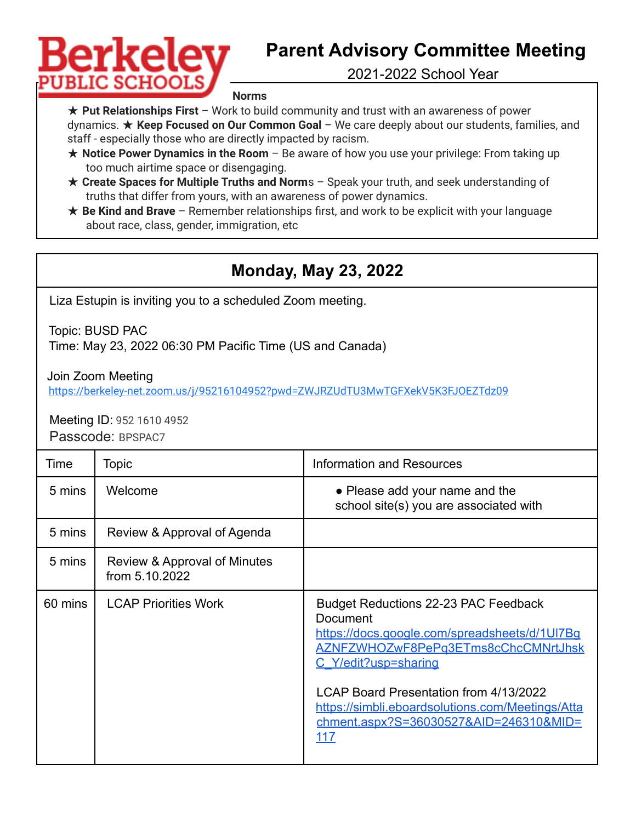## Berkelev **PUBLIC SCHOC**

## **Parent Advisory Committee Meeting**

2021-2022 School Year

**Norms**

★ **Put Relationships First** – Work to build community and trust with an awareness of power dynamics. ★ **Keep Focused on Our Common Goal** – We care deeply about our students, families, and staff - especially those who are directly impacted by racism.

- ★ **Notice Power Dynamics in the Room** Be aware of how you use your privilege: From taking up too much airtime space or disengaging.
- ★ **Create Spaces for Multiple Truths and Norm**s Speak your truth, and seek understanding of truths that differ from yours, with an awareness of power dynamics.
- ★ **Be Kind and Brave** Remember relationships first, and work to be explicit with your language about race, class, gender, immigration, etc

## **Monday, May 23, 2022**

Liza Estupin is inviting you to a scheduled Zoom meeting.

Topic: BUSD PAC

Time: May 23, 2022 06:30 PM Pacific Time (US and Canada)

Join Zoom Meeting

<https://berkeley-net.zoom.us/j/95216104952?pwd=ZWJRZUdTU3MwTGFXekV5K3FJOEZTdz09>

Meeting ID: 952 1610 4952 Passcode: BPSPAC7

| Time    | Topic                                          | <b>Information and Resources</b>                                                                                                                                                                                                                                                                                       |
|---------|------------------------------------------------|------------------------------------------------------------------------------------------------------------------------------------------------------------------------------------------------------------------------------------------------------------------------------------------------------------------------|
| 5 mins  | Welcome                                        | • Please add your name and the<br>school site(s) you are associated with                                                                                                                                                                                                                                               |
| 5 mins  | Review & Approval of Agenda                    |                                                                                                                                                                                                                                                                                                                        |
| 5 mins  | Review & Approval of Minutes<br>from 5.10.2022 |                                                                                                                                                                                                                                                                                                                        |
| 60 mins | <b>LCAP Priorities Work</b>                    | Budget Reductions 22-23 PAC Feedback<br><b>Document</b><br>https://docs.google.com/spreadsheets/d/1UI7Bq<br>AZNFZWHOZwF8PePq3ETms8cChcCMNrtJhsk<br>C Y/edit?usp=sharing<br>LCAP Board Presentation from 4/13/2022<br>https://simbli.eboardsolutions.com/Meetings/Atta<br>chment.aspx?S=36030527&AID=246310&MID=<br>117 |